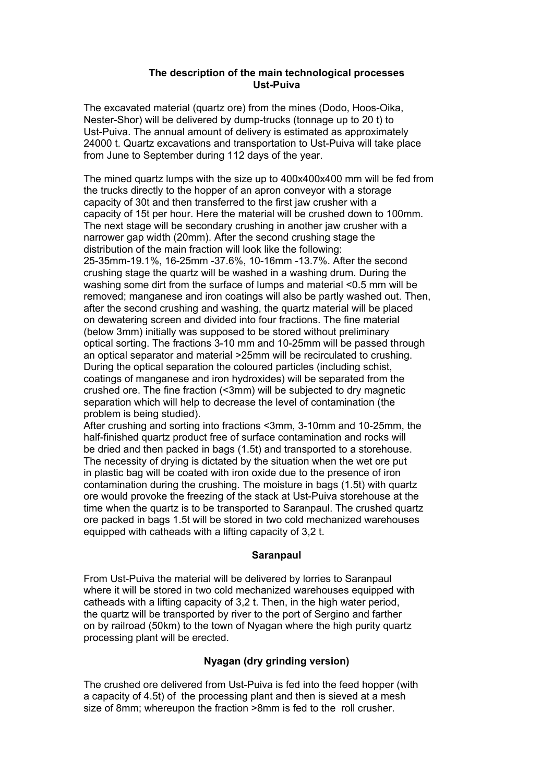### **The description of the main technological processes Ust-Puiva**

The excavated material (quartz ore) from the mines (Dodo, Hoos-Oika, Nester-Shor) will be delivered by dump-trucks (tonnage up to 20 t) to Ust-Puiva. The annual amount of delivery is estimated as approximately 24000 t. Quartz excavations and transportation to Ust-Puiva will take place from June to September during 112 days of the year.

The mined quartz lumps with the size up to 400x400x400 mm will be fed from the trucks directly to the hopper of an apron conveyor with a storage capacity of 30t and then transferred to the first jaw crusher with a capacity of 15t per hour. Here the material will be crushed down to 100mm. The next stage will be secondary crushing in another jaw crusher with a narrower gap width (20mm). After the second crushing stage the distribution of the main fraction will look like the following: 25-35mm-19.1%, 16-25mm -37.6%, 10-16mm -13.7%. After the second crushing stage the quartz will be washed in a washing drum. During the washing some dirt from the surface of lumps and material <0.5 mm will be removed; manganese and iron coatings will also be partly washed out. Then, after the second crushing and washing, the quartz material will be placed on dewatering screen and divided into four fractions. The fine material (below 3mm) initially was supposed to be stored without preliminary optical sorting. The fractions 3-10 mm and 10-25mm will be passed through an optical separator and material >25mm will be recirculated to crushing. During the optical separation the coloured particles (including schist, coatings of manganese and iron hydroxides) will be separated from the crushed ore. The fine fraction (<3mm) will be subjected to dry magnetic separation which will help to decrease the level of contamination (the problem is being studied).

After crushing and sorting into fractions <3mm, 3-10mm and 10-25mm, the half-finished quartz product free of surface contamination and rocks will be dried and then packed in bags (1.5t) and transported to a storehouse. The necessity of drying is dictated by the situation when the wet ore put in plastic bag will be coated with iron oxide due to the presence of iron contamination during the crushing. The moisture in bags (1.5t) with quartz ore would provoke the freezing of the stack at Ust-Puiva storehouse at the time when the quartz is to be transported to Saranpaul. The crushed quartz ore packed in bags 1.5t will be stored in two cold mechanized warehouses equipped with catheads with a lifting capacity of 3,2 t.

### **Saranpaul**

From Ust-Puiva the material will be delivered by lorries to Saranpaul where it will be stored in two cold mechanized warehouses equipped with catheads with a lifting capacity of 3,2 t. Then, in the high water period, the quartz will be transported by river to the port of Sergino and farther on by railroad (50km) to the town of Nyagan where the high purity quartz processing plant will be erected.

## **Nyagan (dry grinding version)**

The crushed ore delivered from Ust-Puiva is fed into the feed hopper (with a capacity of 4.5t) of the processing plant and then is sieved at a mesh size of 8mm; whereupon the fraction >8mm is fed to the roll crusher.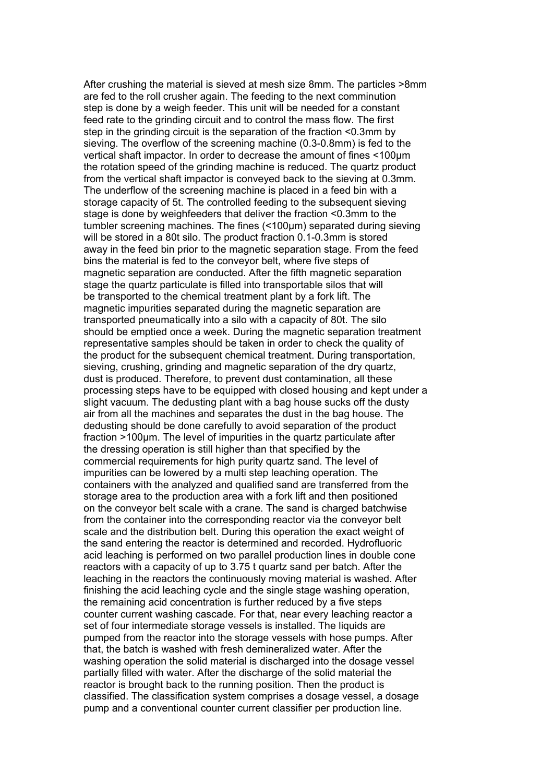After crushing the material is sieved at mesh size 8mm. The particles >8mm are fed to the roll crusher again. The feeding to the next comminution step is done by a weigh feeder. This unit will be needed for a constant feed rate to the grinding circuit and to control the mass flow. The first step in the grinding circuit is the separation of the fraction <0.3mm by sieving. The overflow of the screening machine (0.3-0.8mm) is fed to the vertical shaft impactor. In order to decrease the amount of fines <100µm the rotation speed of the grinding machine is reduced. The quartz product from the vertical shaft impactor is conveyed back to the sieving at 0.3mm. The underflow of the screening machine is placed in a feed bin with a storage capacity of 5t. The controlled feeding to the subsequent sieving stage is done by weighfeeders that deliver the fraction <0.3mm to the tumbler screening machines. The fines (<100µm) separated during sieving will be stored in a 80t silo. The product fraction 0.1-0.3mm is stored away in the feed bin prior to the magnetic separation stage. From the feed bins the material is fed to the conveyor belt, where five steps of magnetic separation are conducted. After the fifth magnetic separation stage the quartz particulate is filled into transportable silos that will be transported to the chemical treatment plant by a fork lift. The magnetic impurities separated during the magnetic separation are transported pneumatically into a silo with a capacity of 80t. The silo should be emptied once a week. During the magnetic separation treatment representative samples should be taken in order to check the quality of the product for the subsequent chemical treatment. During transportation, sieving, crushing, grinding and magnetic separation of the dry quartz, dust is produced. Therefore, to prevent dust contamination, all these processing steps have to be equipped with closed housing and kept under a slight vacuum. The dedusting plant with a bag house sucks off the dusty air from all the machines and separates the dust in the bag house. The dedusting should be done carefully to avoid separation of the product fraction >100µm. The level of impurities in the quartz particulate after the dressing operation is still higher than that specified by the commercial requirements for high purity quartz sand. The level of impurities can be lowered by a multi step leaching operation. The containers with the analyzed and qualified sand are transferred from the storage area to the production area with a fork lift and then positioned on the conveyor belt scale with a crane. The sand is charged batchwise from the container into the corresponding reactor via the conveyor belt scale and the distribution belt. During this operation the exact weight of the sand entering the reactor is determined and recorded. Hydrofluoric acid leaching is performed on two parallel production lines in double cone reactors with a capacity of up to 3.75 t quartz sand per batch. After the leaching in the reactors the continuously moving material is washed. After finishing the acid leaching cycle and the single stage washing operation, the remaining acid concentration is further reduced by a five steps counter current washing cascade. For that, near every leaching reactor a set of four intermediate storage vessels is installed. The liquids are pumped from the reactor into the storage vessels with hose pumps. After that, the batch is washed with fresh demineralized water. After the washing operation the solid material is discharged into the dosage vessel partially filled with water. After the discharge of the solid material the reactor is brought back to the running position. Then the product is classified. The classification system comprises a dosage vessel, a dosage pump and a conventional counter current classifier per production line.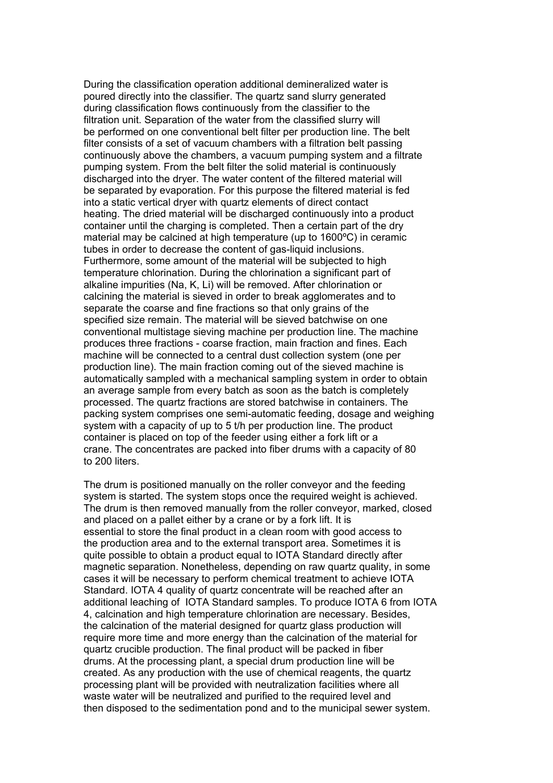During the classification operation additional demineralized water is poured directly into the classifier. The quartz sand slurry generated during classification flows continuously from the classifier to the filtration unit. Separation of the water from the classified slurry will be performed on one conventional belt filter per production line. The belt filter consists of a set of vacuum chambers with a filtration belt passing continuously above the chambers, a vacuum pumping system and a filtrate pumping system. From the belt filter the solid material is continuously discharged into the dryer. The water content of the filtered material will be separated by evaporation. For this purpose the filtered material is fed into a static vertical dryer with quartz elements of direct contact heating. The dried material will be discharged continuously into a product container until the charging is completed. Then a certain part of the dry material may be calcined at high temperature (up to 1600ºC) in ceramic tubes in order to decrease the content of gas-liquid inclusions. Furthermore, some amount of the material will be subjected to high temperature chlorination. During the chlorination a significant part of alkaline impurities (Na, K, Li) will be removed. After chlorination or calcining the material is sieved in order to break agglomerates and to separate the coarse and fine fractions so that only grains of the specified size remain. The material will be sieved batchwise on one conventional multistage sieving machine per production line. The machine produces three fractions - coarse fraction, main fraction and fines. Each machine will be connected to a central dust collection system (one per production line). The main fraction coming out of the sieved machine is automatically sampled with a mechanical sampling system in order to obtain an average sample from every batch as soon as the batch is completely processed. The quartz fractions are stored batchwise in containers. The packing system comprises one semi-automatic feeding, dosage and weighing system with a capacity of up to 5 t/h per production line. The product container is placed on top of the feeder using either a fork lift or a crane. The concentrates are packed into fiber drums with a capacity of 80 to 200 liters.

The drum is positioned manually on the roller conveyor and the feeding system is started. The system stops once the required weight is achieved. The drum is then removed manually from the roller conveyor, marked, closed and placed on a pallet either by a crane or by a fork lift. It is essential to store the final product in a clean room with good access to the production area and to the external transport area. Sometimes it is quite possible to obtain a product equal to IOTA Standard directly after magnetic separation. Nonetheless, depending on raw quartz quality, in some cases it will be necessary to perform chemical treatment to achieve IOTA Standard. IOTA 4 quality of quartz concentrate will be reached after an additional leaching of IOTA Standard samples. To produce IOTA 6 from IOTA 4, calcination and high temperature chlorination are necessary. Besides, the calcination of the material designed for quartz glass production will require more time and more energy than the calcination of the material for quartz crucible production. The final product will be packed in fiber drums. At the processing plant, a special drum production line will be created. As any production with the use of chemical reagents, the quartz processing plant will be provided with neutralization facilities where all waste water will be neutralized and purified to the required level and then disposed to the sedimentation pond and to the municipal sewer system.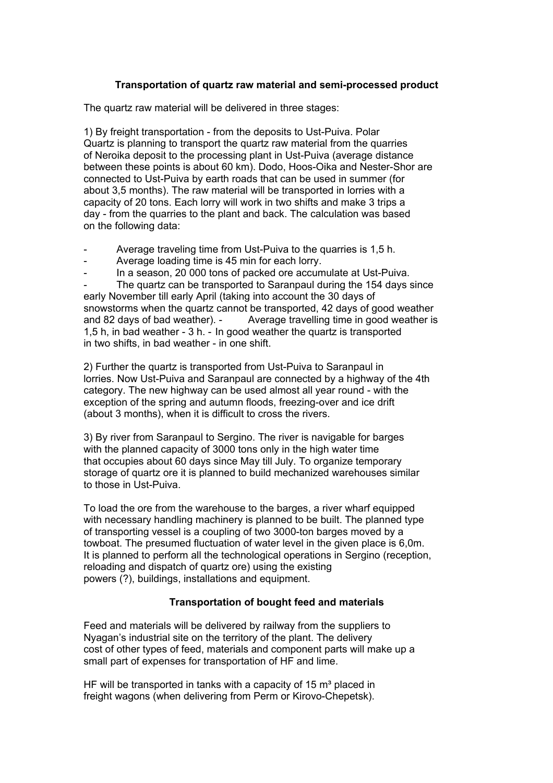# **Transportation of quartz raw material and semi-processed product**

The quartz raw material will be delivered in three stages:

1) By freight transportation - from the deposits to Ust-Puiva. Polar Quartz is planning to transport the quartz raw material from the quarries of Neroika deposit to the processing plant in Ust-Puiva (average distance between these points is about 60 km). Dodo, Hoos-Oika and Nester-Shor are connected to Ust-Puiva by earth roads that can be used in summer (for about 3,5 months). The raw material will be transported in lorries with a capacity of 20 tons. Each lorry will work in two shifts and make 3 trips a day - from the quarries to the plant and back. The calculation was based on the following data:

- Average traveling time from Ust-Puiva to the quarries is 1,5 h.
- Average loading time is 45 min for each lorry.
- In a season, 20 000 tons of packed ore accumulate at Ust-Puiva.

The quartz can be transported to Saranpaul during the 154 days since early November till early April (taking into account the 30 days of snowstorms when the quartz cannot be transported, 42 days of good weather and 82 days of bad weather). - Average travelling time in good weather is 1,5 h, in bad weather - 3 h. - In good weather the quartz is transported in two shifts, in bad weather - in one shift.

2) Further the quartz is transported from Ust-Puiva to Saranpaul in lorries. Now Ust-Puiva and Saranpaul are connected by a highway of the 4th category. The new highway can be used almost all year round - with the exception of the spring and autumn floods, freezing-over and ice drift (about 3 months), when it is difficult to cross the rivers.

3) By river from Saranpaul to Sergino. The river is navigable for barges with the planned capacity of 3000 tons only in the high water time that occupies about 60 days since May till July. To organize temporary storage of quartz ore it is planned to build mechanized warehouses similar to those in Ust-Puiva.

To load the ore from the warehouse to the barges, a river wharf equipped with necessary handling machinery is planned to be built. The planned type of transporting vessel is a coupling of two 3000-ton barges moved by a towboat. The presumed fluctuation of water level in the given place is 6,0m. It is planned to perform all the technological operations in Sergino (reception, reloading and dispatch of quartz ore) using the existing powers (?), buildings, installations and equipment.

## **Transportation of bought feed and materials**

Feed and materials will be delivered by railway from the suppliers to Nyagan's industrial site on the territory of the plant. The delivery cost of other types of feed, materials and component parts will make up a small part of expenses for transportation of HF and lime.

HF will be transported in tanks with a capacity of 15  $m<sup>3</sup>$  placed in freight wagons (when delivering from Perm or Kirovo-Chepetsk).